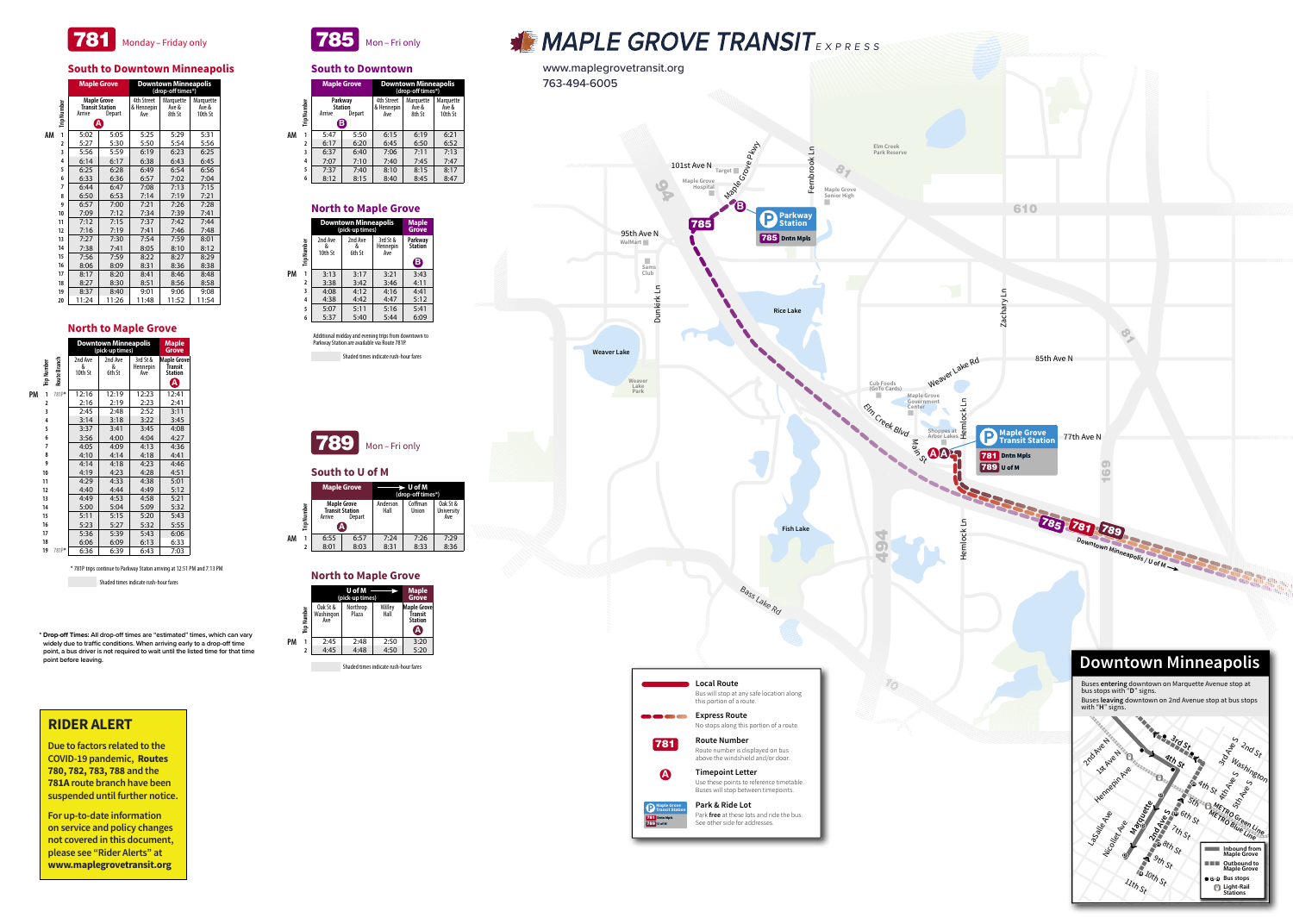



www.maplegrovetransit.org



**\* Drop-off Times: All drop-off times are "estimated" times, which can vary widely due to traffic conditions. When arriving early to a drop-off time point, a bus driver is not required to wait until the listed time for that time point before leaving.**

## **RIDER ALERT**

**Due to factors related to the COVID-19 pandemic, Routes 780, 782, 783, 788 and the 781A route branch have been suspended until further notice.**

**For up-to-date information on service and policy changes not covered in this document, please see "Rider Alerts" at www.maplegrovetransit.org**

|    |                    | (pick-up times)              | <b>Maple</b><br>Grove |                |                                               |
|----|--------------------|------------------------------|-----------------------|----------------|-----------------------------------------------|
|    | <b>Trip Number</b> | Oak St &<br>Washingon<br>Ave | Northrop<br>Plaza     | Willey<br>Hall | Maple Grove<br>Ťransit<br><b>Station</b><br>А |
| PМ |                    | 2:45                         | 2:48                  | 2:50           | 3:20                                          |
|    | 2                  | 4:45                         | 4:48                  | 4:50           | 5:20                                          |
|    |                    |                              |                       |                |                                               |

### **North to Maple Grove**

|    |             |                                                                       | <b>Maple Grove</b> | $\rightarrow$ U of M<br>(drop-off times*) |                  |                                      |
|----|-------------|-----------------------------------------------------------------------|--------------------|-------------------------------------------|------------------|--------------------------------------|
|    | Trip Number | <b>Maple Grove</b><br><b>Transit Station</b><br>Arrive<br>Depart<br>А |                    | Anderson<br>Hall                          | Coffman<br>Union | Oak St &<br><b>University</b><br>Ave |
| AM |             | 6:55                                                                  | 6:57               | 7:24                                      | 7:26             | 7:29                                 |
|    |             | 8:01                                                                  | 8:03               | 8:31                                      | 8:33             | 8:36                                 |

### **South to U of M**



Shaded times indicate rush-hour fares

Additional midday and evening trips from downtown to Parkway Station are available via Route 781P.

|    |             | <b>Maple Grove</b> |                                          | <b>Downtown Minneapolis</b><br>(drop-off times*) |                              |                               |  |
|----|-------------|--------------------|------------------------------------------|--------------------------------------------------|------------------------------|-------------------------------|--|
|    | Trip Number | Arrive             | Parkway<br><b>Station</b><br>Depart<br>В | <b>4th Street</b><br>& Hennepin<br>Ave           | Marquette<br>Ave &<br>8th St | Marquette<br>Ave &<br>10th St |  |
| AM | 1           | 5:47               | 5:50                                     | 6:15                                             | 6:19                         | 6:21                          |  |
|    | 2           | 6:17               | 6:20                                     | 6:45                                             | 6:50                         | 6:52                          |  |
|    | 3           | 6:37               | 6:40                                     | 7:06                                             | 7:11                         | 7:13                          |  |
|    | 4           | 7:07               | 7:10                                     | 7:40                                             | 7:45                         | 7:47                          |  |
|    | 5           | 7:37               | 7:40                                     | 8:10                                             | 8:15                         | 8:17                          |  |
|    | 6           | 8:12               | 8:15                                     | 8:40                                             | 8:45                         | 8:47                          |  |

#### **South to Downtown**



Shaded times indicate rush-hour fares

|    |             | <b>Downtown Minneapolis</b><br>(pick-up times) | <b>Maple</b><br><b>Grove</b> |                             |                           |
|----|-------------|------------------------------------------------|------------------------------|-----------------------------|---------------------------|
|    | Trip Number | 2nd Ave<br>&<br>10th St                        | 2nd Ave<br>&<br>6th St       | 3rd St &<br>Hennepin<br>Ave | Parkway<br><b>Station</b> |
|    |             |                                                |                              |                             | $\mathbf B$               |
| PM | 1           | 3:13                                           | 3:17                         | 3:21                        | 3:43                      |
|    | 2           | 3:38                                           | 3:42                         | 3:46                        | 4:11                      |
|    | 3           | 4:08                                           | 4:12                         | 4:16                        | 4:41                      |
|    | 4           | 4:38                                           | 4:42                         | 4:47                        | 5:12                      |
|    | 5           | 5:07                                           | 5:11                         | 5:16                        | 5:41                      |
|    | 6           | 5:37                                           | 5:40                         | 5:44                        | 6:09                      |

## **North to Maple Grove**

|    |                |              | <b>Downtown Minneapolis</b><br>(pick-up times) |                        |                             | <b>Maple</b><br><b>Grove</b>                         |
|----|----------------|--------------|------------------------------------------------|------------------------|-----------------------------|------------------------------------------------------|
|    | Trip Number    | Route Branch | 2nd Ave<br>&<br>10th St                        | 2nd Ave<br>&<br>6th St | 3rd St &<br>Hennepin<br>Ave | <b>Maple Grove</b><br>Transit<br><b>Station</b><br>A |
| PM | 1              | 781P*        | 12:16                                          | 12:19                  | 12:23                       | 12:41                                                |
|    | $\overline{a}$ |              | 2:16                                           | 2:19                   | 2:23                        | 2:41                                                 |
|    | 3              |              | 2:45                                           | 2:48                   | 2:52                        | 3:11                                                 |
|    | 4              |              | 3:14                                           | 3:18                   | 3:22                        | 3:45                                                 |
|    | 5              |              | 3:37                                           | 3:41                   | 3:45                        | 4:08                                                 |
|    | 6              |              | 3:56                                           | 4:00                   | 4:04                        | 4:27                                                 |
|    | 7              |              | 4:05                                           | 4:09                   | 4:13                        | 4:36                                                 |
|    | 8              |              | 4:10                                           | 4:14                   | 4:18                        | 4:41                                                 |
|    | 9              |              | 4:14                                           | 4:18                   | 4:23                        | 4:46                                                 |
|    | 10             |              | 4:19                                           | 4:23                   | 4:28                        | 4:51                                                 |
|    | 11             |              | 4:29                                           | 4:33                   | 4:38                        | 5:01                                                 |
|    | 12             |              | 4:40                                           | 4:44                   | 4:49                        | 5:12                                                 |
|    | 13             |              | 4:49                                           | 4:53                   | 4:58                        | 5:21                                                 |
|    | 14             |              | 5:00                                           | 5:04                   | 5:09                        | 5:32                                                 |
|    | 15             |              | 5:11                                           | 5:15                   | 5:20                        | 5:43                                                 |
|    | 16             |              | 5:23                                           | 5:27                   | 5:32                        | 5:55                                                 |
|    | 17             |              | 5:36                                           | 5:39                   | 5:43                        | 6:06                                                 |
|    | 18             |              | 6:06                                           | 6:09                   | 6:13                        | 6:33                                                 |
|    | 19             | 781P*        | 6:36                                           | 6:39                   | 6:43                        | 7:03                                                 |

#### **North to Maple Grove**

\* 781P trips continue to Parkway Staton arriving at 12:51 PM and 7:13 PM

Shaded times indicate rush-hour fares

|    |             | <b>Maple Grove</b>                                                      |       | <b>Downtown Minneapolis</b><br>(drop-off times*) |                              |                               |  |
|----|-------------|-------------------------------------------------------------------------|-------|--------------------------------------------------|------------------------------|-------------------------------|--|
|    | Trip Number | <b>Maple Grove</b><br><b>Transit Station</b><br>Arrive<br><b>Depart</b> |       | <b>4th Street</b><br>& Hennepin<br>Ave           | Marquette<br>Ave &<br>8th St | Marquette<br>Ave &<br>10th St |  |
|    |             |                                                                         | Ą     |                                                  |                              |                               |  |
| AM | 1           | 5:02                                                                    | 5:05  | 5:25                                             | 5:29                         | 5:31                          |  |
|    | 2           | 5:27                                                                    | 5:30  | 5:50                                             | 5:54                         | 5:56                          |  |
|    | 3           | 5:56                                                                    | 5:59  | 6:19                                             | 6:23                         | 6:25                          |  |
|    | 4           | 6:14                                                                    | 6:17  | 6:38                                             | 6:43                         | 6:45                          |  |
|    | 5           | 6:25                                                                    | 6:28  | 6:49                                             | 6:54                         | 6:56                          |  |
|    | 6           | 6:33                                                                    | 6:36  | 6:57                                             | 7:02                         | 7:04                          |  |
|    | 7           | 6:44                                                                    | 6:47  | 7:08                                             | 7:13                         | 7:15                          |  |
|    | 8           | 6:50                                                                    | 6:53  | 7:14                                             | 7:19                         | 7:21                          |  |
|    | 9           | 6:57                                                                    | 7:00  | 7:21                                             | 7:26                         | 7:28                          |  |
|    | 10          | 7:09                                                                    | 7:12  | 7:34                                             | 7:39                         | 7:41                          |  |
|    | 11          | 7:12                                                                    | 7:15  | 7:37                                             | 7:42                         | 7:44                          |  |
|    | 12          | 7:16                                                                    | 7:19  | 7:41                                             | 7:46                         | 7:48                          |  |
|    | 13          | 7:27                                                                    | 7:30  | 7:54                                             | 7:59                         | 8:01                          |  |
|    | 14          | 7:38                                                                    | 7:41  | 8:05                                             | 8:10                         | 8:12                          |  |
|    | 15          | 7:56                                                                    | 7:59  | 8:22                                             | 8:27                         | 8:29                          |  |
|    | 16          | 8:06                                                                    | 8:09  | 8:31                                             | 8:36                         | 8:38                          |  |
|    | 17          | 8:17                                                                    | 8:20  | 8:41                                             | 8:46                         | 8:48                          |  |
|    | 18          | 8:27                                                                    | 8:30  | 8:51                                             | 8:56                         | 8:58                          |  |
|    | 19          | 8:37                                                                    | 8:40  | 9:01                                             | 9:06                         | 9:08                          |  |
|    | 20          | 11:24                                                                   | 11:26 | 11:48                                            | 11:52                        | 11:54                         |  |

## **South to Downtown Minneapolis**